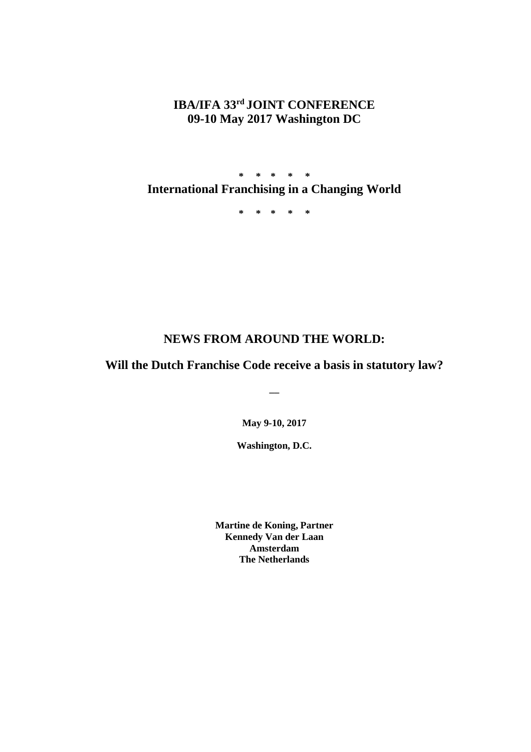# **IBA/IFA 33rd JOINT CONFERENCE 09-10 May 2017 Washington DC**

**\* \* \* \* \* International Franchising in a Changing World** 

**\* \* \* \* \***

# **NEWS FROM AROUND THE WORLD:**

# **Will the Dutch Franchise Code receive a basis in statutory law?**

**\_\_**

**May 9-10, 2017**

**Washington, D.C.**

**Martine de Koning, Partner Kennedy Van der Laan Amsterdam The Netherlands**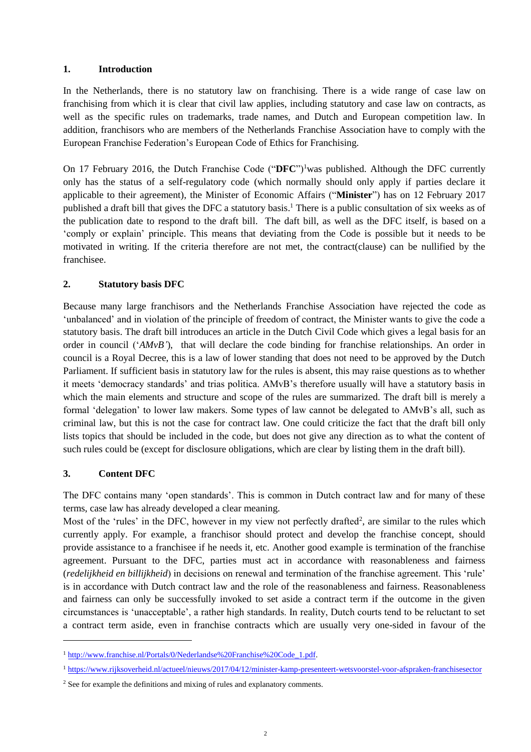## **1. Introduction**

In the Netherlands, there is no statutory law on franchising. There is a wide range of case law on franchising from which it is clear that civil law applies, including statutory and case law on contracts, as well as the specific rules on trademarks, trade names, and Dutch and European competition law. In addition, franchisors who are members of the Netherlands Franchise Association have to comply with the European Franchise Federation's European Code of Ethics for Franchising.

On 17 February 2016, the Dutch Franchise Code ("DFC")<sup>1</sup>was published. Although the DFC currently only has the status of a self-regulatory code (which normally should only apply if parties declare it applicable to their agreement), the Minister of Economic Affairs ("**Minister**") has on 12 February 2017 published a draft bill that gives the DFC a statutory basis. <sup>1</sup> There is a public consultation of six weeks as of the publication date to respond to the draft bill. The daft bill, as well as the DFC itself, is based on a 'comply or explain' principle. This means that deviating from the Code is possible but it needs to be motivated in writing. If the criteria therefore are not met, the contract(clause) can be nullified by the franchisee.

### **2. Statutory basis DFC**

Because many large franchisors and the Netherlands Franchise Association have rejected the code as 'unbalanced' and in violation of the principle of freedom of contract, the Minister wants to give the code a statutory basis. The draft bill introduces an article in the Dutch Civil Code which gives a legal basis for an order in council ('*AMvB'*), that will declare the code binding for franchise relationships. An order in council is a Royal Decree, this is a law of lower standing that does not need to be approved by the Dutch Parliament. If sufficient basis in statutory law for the rules is absent, this may raise questions as to whether it meets 'democracy standards' and trias politica. AMvB's therefore usually will have a statutory basis in which the main elements and structure and scope of the rules are summarized. The draft bill is merely a formal 'delegation' to lower law makers. Some types of law cannot be delegated to AMvB's all, such as criminal law, but this is not the case for contract law. One could criticize the fact that the draft bill only lists topics that should be included in the code, but does not give any direction as to what the content of such rules could be (except for disclosure obligations, which are clear by listing them in the draft bill).

#### **3. Content DFC**

 $\overline{a}$ 

The DFC contains many 'open standards'. This is common in Dutch contract law and for many of these terms, case law has already developed a clear meaning.

Most of the 'rules' in the DFC, however in my view not perfectly drafted<sup>2</sup>, are similar to the rules which currently apply. For example, a franchisor should protect and develop the franchise concept, should provide assistance to a franchisee if he needs it, etc. Another good example is termination of the franchise agreement. Pursuant to the DFC, parties must act in accordance with reasonableness and fairness (*redelijkheid en billijkheid*) in decisions on renewal and termination of the franchise agreement. This 'rule' is in accordance with Dutch contract law and the role of the reasonableness and fairness. Reasonableness and fairness can only be successfully invoked to set aside a contract term if the outcome in the given circumstances is 'unacceptable', a rather high standards. In reality, Dutch courts tend to be reluctant to set a contract term aside, even in franchise contracts which are usually very one-sided in favour of the

<sup>1</sup> [http://www.franchise.nl/Portals/0/Nederlandse%20Franchise%20Code\\_1.pdf.](http://www.franchise.nl/Portals/0/Nederlandse%20Franchise%20Code_1.pdf)

<sup>&</sup>lt;sup>1</sup> <https://www.rijksoverheid.nl/actueel/nieuws/2017/04/12/minister-kamp-presenteert-wetsvoorstel-voor-afspraken-franchisesector>

<sup>&</sup>lt;sup>2</sup> See for example the definitions and mixing of rules and explanatory comments.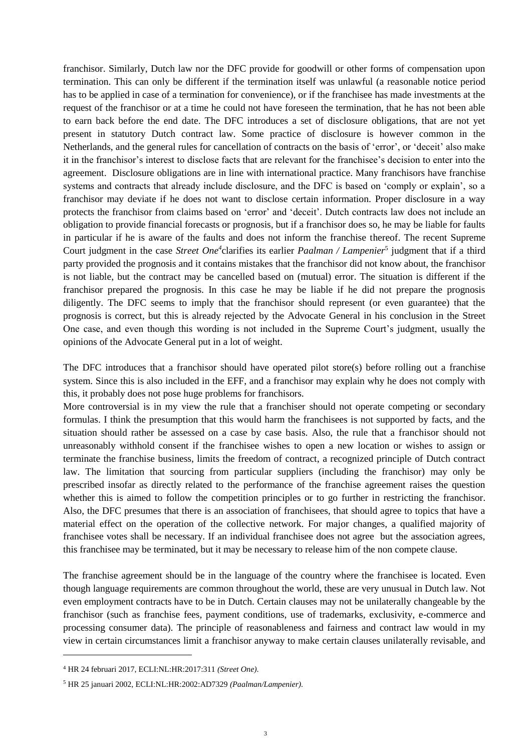franchisor. Similarly, Dutch law nor the DFC provide for goodwill or other forms of compensation upon termination. This can only be different if the termination itself was unlawful (a reasonable notice period has to be applied in case of a termination for convenience), or if the franchisee has made investments at the request of the franchisor or at a time he could not have foreseen the termination, that he has not been able to earn back before the end date. The DFC introduces a set of disclosure obligations, that are not yet present in statutory Dutch contract law. Some practice of disclosure is however common in the Netherlands, and the general rules for cancellation of contracts on the basis of 'error', or 'deceit' also make it in the franchisor's interest to disclose facts that are relevant for the franchisee's decision to enter into the agreement. Disclosure obligations are in line with international practice. Many franchisors have franchise systems and contracts that already include disclosure, and the DFC is based on 'comply or explain', so a franchisor may deviate if he does not want to disclose certain information. Proper disclosure in a way protects the franchisor from claims based on 'error' and 'deceit'. Dutch contracts law does not include an obligation to provide financial forecasts or prognosis, but if a franchisor does so, he may be liable for faults in particular if he is aware of the faults and does not inform the franchise thereof. The recent Supreme Court judgment in the case Street One<sup>4</sup> clarifies its earlier *Paalman / Lampenier*<sup>5</sup> judgment that if a third party provided the prognosis and it contains mistakes that the franchisor did not know about, the franchisor is not liable, but the contract may be cancelled based on (mutual) error. The situation is different if the franchisor prepared the prognosis. In this case he may be liable if he did not prepare the prognosis diligently. The DFC seems to imply that the franchisor should represent (or even guarantee) that the prognosis is correct, but this is already rejected by the Advocate General in his conclusion in the Street One case, and even though this wording is not included in the Supreme Court's judgment, usually the opinions of the Advocate General put in a lot of weight.

The DFC introduces that a franchisor should have operated pilot store(s) before rolling out a franchise system. Since this is also included in the EFF, and a franchisor may explain why he does not comply with this, it probably does not pose huge problems for franchisors.

More controversial is in my view the rule that a franchiser should not operate competing or secondary formulas. I think the presumption that this would harm the franchisees is not supported by facts, and the situation should rather be assessed on a case by case basis. Also, the rule that a franchisor should not unreasonably withhold consent if the franchisee wishes to open a new location or wishes to assign or terminate the franchise business, limits the freedom of contract, a recognized principle of Dutch contract law. The limitation that sourcing from particular suppliers (including the franchisor) may only be prescribed insofar as directly related to the performance of the franchise agreement raises the question whether this is aimed to follow the competition principles or to go further in restricting the franchisor. Also, the DFC presumes that there is an association of franchisees, that should agree to topics that have a material effect on the operation of the collective network. For major changes, a qualified majority of franchisee votes shall be necessary. If an individual franchisee does not agree but the association agrees, this franchisee may be terminated, but it may be necessary to release him of the non compete clause.

The franchise agreement should be in the language of the country where the franchisee is located. Even though language requirements are common throughout the world, these are very unusual in Dutch law. Not even employment contracts have to be in Dutch. Certain clauses may not be unilaterally changeable by the franchisor (such as franchise fees, payment conditions, use of trademarks, exclusivity, e-commerce and processing consumer data). The principle of reasonableness and fairness and contract law would in my view in certain circumstances limit a franchisor anyway to make certain clauses unilaterally revisable, and

<sup>4</sup> HR 24 februari 2017, ECLI:NL:HR:2017:311 *(Street One)*.

<sup>5</sup> HR 25 januari 2002, ECLI:NL:HR:2002:AD7329 *(Paalman/Lampenier).*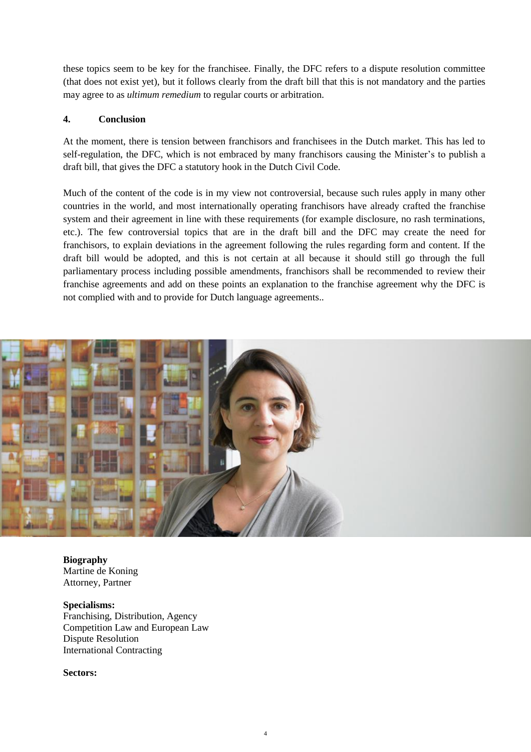these topics seem to be key for the franchisee. Finally, the DFC refers to a dispute resolution committee (that does not exist yet), but it follows clearly from the draft bill that this is not mandatory and the parties may agree to as *ultimum remedium* to regular courts or arbitration.

### **4. Conclusion**

At the moment, there is tension between franchisors and franchisees in the Dutch market. This has led to self-regulation, the DFC, which is not embraced by many franchisors causing the Minister's to publish a draft bill, that gives the DFC a statutory hook in the Dutch Civil Code.

Much of the content of the code is in my view not controversial, because such rules apply in many other countries in the world, and most internationally operating franchisors have already crafted the franchise system and their agreement in line with these requirements (for example disclosure, no rash terminations, etc.). The few controversial topics that are in the draft bill and the DFC may create the need for franchisors, to explain deviations in the agreement following the rules regarding form and content. If the draft bill would be adopted, and this is not certain at all because it should still go through the full parliamentary process including possible amendments, franchisors shall be recommended to review their franchise agreements and add on these points an explanation to the franchise agreement why the DFC is not complied with and to provide for Dutch language agreements..



**Biography**  Martine de Koning Attorney, Partner

**Specialisms:** Franchising, Distribution, Agency [Competition Law and European Law](http://www.kvdl.nl/en/our-specialisms/competition/) [Dispute Resolution](http://www.kvdl.nl/en/our-specialisms/dispute-resolution/) [International Contracting](http://www.kvdl.nl/en/our-specialisms/international-contracting/)

**Sectors:**